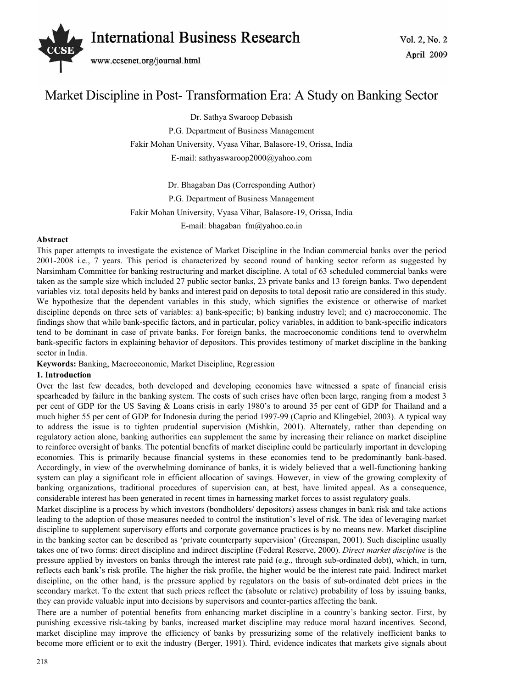# Vol. 2, No. 2 *International Business Research*



www.ccsenet.org/journal.html

# Market Discipline in Post- Transformation Era: A Study on Banking Sector

Dr. Sathya Swaroop Debasish

P.G. Department of Business Management Fakir Mohan University, Vyasa Vihar, Balasore-19, Orissa, India E-mail: sathyaswaroop2000@yahoo.com

Dr. Bhagaban Das (Corresponding Author)

P.G. Department of Business Management

Fakir Mohan University, Vyasa Vihar, Balasore-19, Orissa, India

E-mail: bhagaban\_fm@yahoo.co.in

## **Abstract**

This paper attempts to investigate the existence of Market Discipline in the Indian commercial banks over the period 2001-2008 i.e., 7 years. This period is characterized by second round of banking sector reform as suggested by Narsimham Committee for banking restructuring and market discipline. A total of 63 scheduled commercial banks were taken as the sample size which included 27 public sector banks, 23 private banks and 13 foreign banks. Two dependent variables viz. total deposits held by banks and interest paid on deposits to total deposit ratio are considered in this study. We hypothesize that the dependent variables in this study, which signifies the existence or otherwise of market discipline depends on three sets of variables: a) bank-specific; b) banking industry level; and c) macroeconomic. The findings show that while bank-specific factors, and in particular, policy variables, in addition to bank-specific indicators tend to be dominant in case of private banks. For foreign banks, the macroeconomic conditions tend to overwhelm bank-specific factors in explaining behavior of depositors. This provides testimony of market discipline in the banking sector in India.

**Keywords:** Banking, Macroeconomic, Market Discipline, Regression

## **1. Introduction**

Over the last few decades, both developed and developing economies have witnessed a spate of financial crisis spearheaded by failure in the banking system. The costs of such crises have often been large, ranging from a modest 3 per cent of GDP for the US Saving & Loans crisis in early 1980's to around 35 per cent of GDP for Thailand and a much higher 55 per cent of GDP for Indonesia during the period 1997-99 (Caprio and Klingebiel, 2003). A typical way to address the issue is to tighten prudential supervision (Mishkin, 2001). Alternately, rather than depending on regulatory action alone, banking authorities can supplement the same by increasing their reliance on market discipline to reinforce oversight of banks. The potential benefits of market discipline could be particularly important in developing economies. This is primarily because financial systems in these economies tend to be predominantly bank-based. Accordingly, in view of the overwhelming dominance of banks, it is widely believed that a well-functioning banking system can play a significant role in efficient allocation of savings. However, in view of the growing complexity of banking organizations, traditional procedures of supervision can, at best, have limited appeal. As a consequence, considerable interest has been generated in recent times in harnessing market forces to assist regulatory goals.

Market discipline is a process by which investors (bondholders/ depositors) assess changes in bank risk and take actions leading to the adoption of those measures needed to control the institution's level of risk. The idea of leveraging market discipline to supplement supervisory efforts and corporate governance practices is by no means new. Market discipline in the banking sector can be described as 'private counterparty supervision' (Greenspan, 2001). Such discipline usually takes one of two forms: direct discipline and indirect discipline (Federal Reserve, 2000). *Direct market discipline* is the pressure applied by investors on banks through the interest rate paid (e.g., through sub-ordinated debt), which, in turn, reflects each bank's risk profile. The higher the risk profile, the higher would be the interest rate paid. Indirect market discipline, on the other hand, is the pressure applied by regulators on the basis of sub-ordinated debt prices in the secondary market. To the extent that such prices reflect the (absolute or relative) probability of loss by issuing banks, they can provide valuable input into decisions by supervisors and counter-parties affecting the bank.

There are a number of potential benefits from enhancing market discipline in a country's banking sector. First, by punishing excessive risk-taking by banks, increased market discipline may reduce moral hazard incentives. Second, market discipline may improve the efficiency of banks by pressurizing some of the relatively inefficient banks to become more efficient or to exit the industry (Berger, 1991). Third, evidence indicates that markets give signals about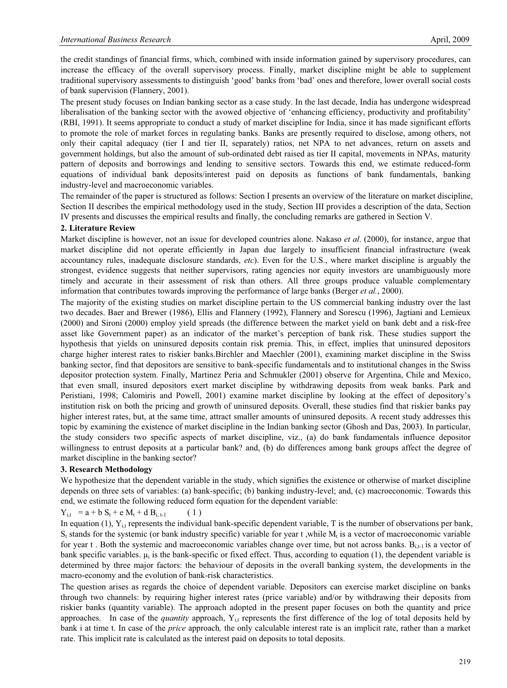the credit standings of financial firms, which, combined with inside information gained by supervisory procedures, can increase the efficacy of the overall supervisory process. Finally, market discipline might be able to supplement traditional supervisory assessments to distinguish 'good' banks from 'bad' ones and therefore, lower overall social costs of bank supervision (Flannery, 2001).

The present study focuses on Indian banking sector as a case study. In the last decade, India has undergone widespread liberalisation of the banking sector with the avowed objective of 'enhancing efficiency, productivity and profitability' (RBI, 1991). It seems appropriate to conduct a study of market discipline for India, since it has made significant efforts to promote the role of market forces in regulating banks. Banks are presently required to disclose, among others, not only their capital adequacy (tier I and tier II, separately) ratios, net NPA to net advances, return on assets and government holdings, but also the amount of sub-ordinated debt raised as tier II capital, movements in NPAs, maturity pattern of deposits and borrowings and lending to sensitive sectors. Towards this end, we estimate reduced-form equations of individual bank deposits/interest paid on deposits as functions of bank fundamentals, banking industry-level and macroeconomic variables.

The remainder of the paper is structured as follows: Section I presents an overview of the literature on market discipline, Section II describes the empirical methodology used in the study, Section III provides a description of the data, Section IV presents and discusses the empirical results and finally, the concluding remarks are gathered in Section V.

#### **2. Literature Review**

Market discipline is however, not an issue for developed countries alone. Nakaso *et al*. (2000), for instance, argue that market discipline did not operate efficiently in Japan due largely to insufficient financial infrastructure (weak accountancy rules, inadequate disclosure standards, *etc*). Even for the U.S., where market discipline is arguably the strongest, evidence suggests that neither supervisors, rating agencies nor equity investors are unambiguously more timely and accurate in their assessment of risk than others. All three groups produce valuable complementary information that contributes towards improving the performance of large banks (Berger *et al.*, 2000).

The majority of the existing studies on market discipline pertain to the US commercial banking industry over the last two decades. Baer and Brewer (1986), Ellis and Flannery (1992), Flannery and Sorescu (1996), Jagtiani and Lemieux (2000) and Sironi (2000) employ yield spreads (the difference between the market yield on bank debt and a risk-free asset like Government paper) as an indicator of the market's perception of bank risk. These studies support the hypothesis that yields on uninsured deposits contain risk premia. This, in effect, implies that uninsured depositors charge higher interest rates to riskier banks.Birchler and Maechler (2001), examining market discipline in the Swiss banking sector, find that depositors are sensitive to bank-specific fundamentals and to institutional changes in the Swiss depositor protection system. Finally, Martinez Peria and Schmukler (2001) observe for Argentina, Chile and Mexico, that even small, insured depositors exert market discipline by withdrawing deposits from weak banks. Park and Peristiani, 1998; Calomiris and Powell, 2001) examine market discipline by looking at the effect of depository's institution risk on both the pricing and growth of uninsured deposits. Overall, these studies find that riskier banks pay higher interest rates, but, at the same time, attract smaller amounts of uninsured deposits. A recent study addresses this topic by examining the existence of market discipline in the Indian banking sector (Ghosh and Das, 2003). In particular, the study considers two specific aspects of market discipline, viz., (a) do bank fundamentals influence depositor willingness to entrust deposits at a particular bank? and, (b) do differences among bank groups affect the degree of market discipline in the banking sector?

#### **3. Research Methodology**

We hypothesize that the dependent variable in the study, which signifies the existence or otherwise of market discipline depends on three sets of variables: (a) bank-specific; (b) banking industry-level; and, (c) macroeconomic. Towards this end, we estimate the following reduced form equation for the dependent variable:

 $Y_{i,t}$  = a + b S<sub>t</sub> + e M<sub>t</sub> + d B<sub>i, t-1</sub> ( 1 )

In equation (1),  $Y_{i,t}$  represents the individual bank-specific dependent variable, T is the number of observations per bank,  $S_t$  stands for the systemic (or bank industry specific) variable for year t, while  $M_t$  is a vector of macroeconomic variable for year t. Both the systemic and macroeconomic variables change over time, but not across banks.  $B_{i,t-1}$  is a vector of bank specific variables.  $\mu_i$  is the bank-specific or fixed effect. Thus, according to equation (1), the dependent variable is determined by three major factors: the behaviour of deposits in the overall banking system, the developments in the macro-economy and the evolution of bank-risk characteristics.

The question arises as regards the choice of dependent variable. Depositors can exercise market discipline on banks through two channels: by requiring higher interest rates (price variable) and/or by withdrawing their deposits from riskier banks (quantity variable). The approach adopted in the present paper focuses on both the quantity and price approaches. In case of the *quantity* approach, Yi,t represents the first difference of the log of total deposits held by bank i at time t. In case of the *price* approach*,* the only calculable interest rate is an implicit rate, rather than a market rate. This implicit rate is calculated as the interest paid on deposits to total deposits.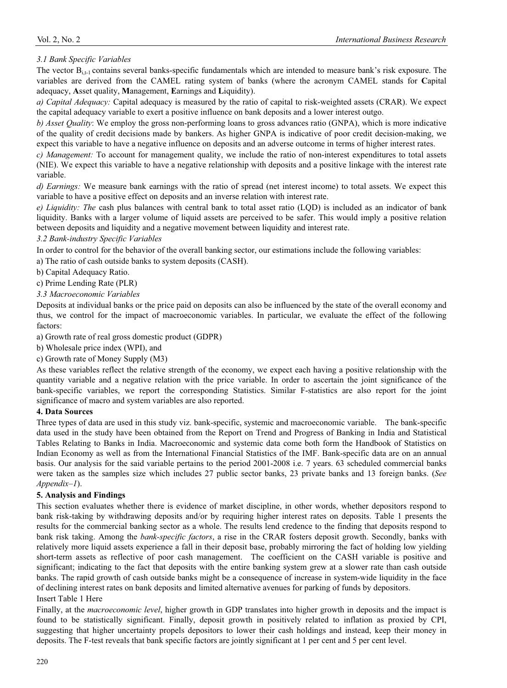# *3.1 Bank Specific Variables*

The vector  $B_{i,t-1}$  contains several banks-specific fundamentals which are intended to measure bank's risk exposure. The variables are derived from the CAMEL rating system of banks (where the acronym CAMEL stands for **C**apital adequacy, **A**sset quality, **M**anagement, **E**arnings and **L**iquidity).

*a) Capital Adequacy:* Capital adequacy is measured by the ratio of capital to risk-weighted assets (CRAR). We expect the capital adequacy variable to exert a positive influence on bank deposits and a lower interest outgo.

*b) Asset Quality*: We employ the gross non-performing loans to gross advances ratio (GNPA), which is more indicative of the quality of credit decisions made by bankers. As higher GNPA is indicative of poor credit decision-making, we expect this variable to have a negative influence on deposits and an adverse outcome in terms of higher interest rates.

*c) Management:* To account for management quality, we include the ratio of non-interest expenditures to total assets (NIE). We expect this variable to have a negative relationship with deposits and a positive linkage with the interest rate variable.

*d) Earnings:* We measure bank earnings with the ratio of spread (net interest income) to total assets. We expect this variable to have a positive effect on deposits and an inverse relation with interest rate.

*e) Liquidity: The* cash plus balances with central bank to total asset ratio (LQD) is included as an indicator of bank liquidity. Banks with a larger volume of liquid assets are perceived to be safer. This would imply a positive relation between deposits and liquidity and a negative movement between liquidity and interest rate.

#### *3.2 Bank-industry Specific Variables*

In order to control for the behavior of the overall banking sector, our estimations include the following variables:

a) The ratio of cash outside banks to system deposits (CASH).

b) Capital Adequacy Ratio.

c) Prime Lending Rate (PLR)

*3.3 Macroeconomic Variables* 

Deposits at individual banks or the price paid on deposits can also be influenced by the state of the overall economy and thus, we control for the impact of macroeconomic variables. In particular, we evaluate the effect of the following factors:

a) Growth rate of real gross domestic product (GDPR)

b) Wholesale price index (WPI), and

c) Growth rate of Money Supply (M3)

As these variables reflect the relative strength of the economy, we expect each having a positive relationship with the quantity variable and a negative relation with the price variable. In order to ascertain the joint significance of the bank-specific variables, we report the corresponding Statistics. Similar F-statistics are also report for the joint significance of macro and system variables are also reported.

# **4. Data Sources**

Three types of data are used in this study viz. bank-specific, systemic and macroeconomic variable. The bank-specific data used in the study have been obtained from the Report on Trend and Progress of Banking in India and Statistical Tables Relating to Banks in India. Macroeconomic and systemic data come both form the Handbook of Statistics on Indian Economy as well as from the International Financial Statistics of the IMF. Bank-specific data are on an annual basis. Our analysis for the said variable pertains to the period 2001-2008 i.e. 7 years. 63 scheduled commercial banks were taken as the samples size which includes 27 public sector banks, 23 private banks and 13 foreign banks. (*See Appendix–1*).

## **5. Analysis and Findings**

This section evaluates whether there is evidence of market discipline, in other words, whether depositors respond to bank risk-taking by withdrawing deposits and/or by requiring higher interest rates on deposits. Table 1 presents the results for the commercial banking sector as a whole. The results lend credence to the finding that deposits respond to bank risk taking. Among the *bank-specific factors*, a rise in the CRAR fosters deposit growth. Secondly, banks with relatively more liquid assets experience a fall in their deposit base, probably mirroring the fact of holding low yielding short-term assets as reflective of poor cash management. The coefficient on the CASH variable is positive and significant; indicating to the fact that deposits with the entire banking system grew at a slower rate than cash outside banks. The rapid growth of cash outside banks might be a consequence of increase in system-wide liquidity in the face of declining interest rates on bank deposits and limited alternative avenues for parking of funds by depositors. Insert Table 1 Here

Finally, at the *macroeconomic level*, higher growth in GDP translates into higher growth in deposits and the impact is found to be statistically significant. Finally, deposit growth in positively related to inflation as proxied by CPI, suggesting that higher uncertainty propels depositors to lower their cash holdings and instead, keep their money in deposits. The F-test reveals that bank specific factors are jointly significant at 1 per cent and 5 per cent level.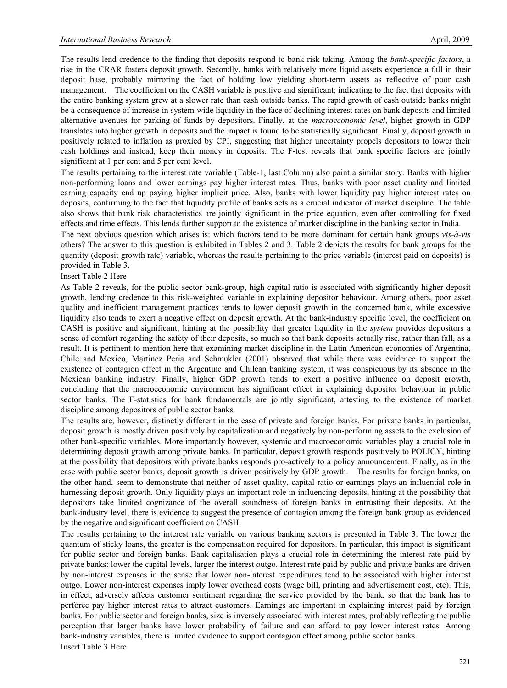The results lend credence to the finding that deposits respond to bank risk taking. Among the *bank-specific factors*, a rise in the CRAR fosters deposit growth. Secondly, banks with relatively more liquid assets experience a fall in their deposit base, probably mirroring the fact of holding low yielding short-term assets as reflective of poor cash management. The coefficient on the CASH variable is positive and significant; indicating to the fact that deposits with the entire banking system grew at a slower rate than cash outside banks. The rapid growth of cash outside banks might be a consequence of increase in system-wide liquidity in the face of declining interest rates on bank deposits and limited alternative avenues for parking of funds by depositors. Finally, at the *macroeconomic level*, higher growth in GDP translates into higher growth in deposits and the impact is found to be statistically significant. Finally, deposit growth in positively related to inflation as proxied by CPI, suggesting that higher uncertainty propels depositors to lower their cash holdings and instead, keep their money in deposits. The F-test reveals that bank specific factors are jointly significant at 1 per cent and 5 per cent level.

The results pertaining to the interest rate variable (Table-1, last Column) also paint a similar story. Banks with higher non-performing loans and lower earnings pay higher interest rates. Thus, banks with poor asset quality and limited earning capacity end up paying higher implicit price. Also, banks with lower liquidity pay higher interest rates on deposits, confirming to the fact that liquidity profile of banks acts as a crucial indicator of market discipline. The table also shows that bank risk characteristics are jointly significant in the price equation, even after controlling for fixed effects and time effects. This lends further support to the existence of market discipline in the banking sector in India.

The next obvious question which arises is: which factors tend to be more dominant for certain bank groups *vis-à-vis* others? The answer to this question is exhibited in Tables 2 and 3. Table 2 depicts the results for bank groups for the quantity (deposit growth rate) variable, whereas the results pertaining to the price variable (interest paid on deposits) is provided in Table 3.

#### Insert Table 2 Here

As Table 2 reveals, for the public sector bank-group, high capital ratio is associated with significantly higher deposit growth, lending credence to this risk-weighted variable in explaining depositor behaviour. Among others, poor asset quality and inefficient management practices tends to lower deposit growth in the concerned bank, while excessive liquidity also tends to exert a negative effect on deposit growth. At the bank-industry specific level, the coefficient on CASH is positive and significant; hinting at the possibility that greater liquidity in the *system* provides depositors a sense of comfort regarding the safety of their deposits, so much so that bank deposits actually rise, rather than fall, as a result. It is pertinent to mention here that examining market discipline in the Latin American economies of Argentina, Chile and Mexico, Martinez Peria and Schmukler (2001) observed that while there was evidence to support the existence of contagion effect in the Argentine and Chilean banking system, it was conspicuous by its absence in the Mexican banking industry. Finally, higher GDP growth tends to exert a positive influence on deposit growth, concluding that the macroeconomic environment has significant effect in explaining depositor behaviour in public sector banks. The F-statistics for bank fundamentals are jointly significant, attesting to the existence of market discipline among depositors of public sector banks.

The results are, however, distinctly different in the case of private and foreign banks. For private banks in particular, deposit growth is mostly driven positively by capitalization and negatively by non-performing assets to the exclusion of other bank-specific variables. More importantly however, systemic and macroeconomic variables play a crucial role in determining deposit growth among private banks. In particular, deposit growth responds positively to POLICY, hinting at the possibility that depositors with private banks responds pro-actively to a policy announcement. Finally, as in the case with public sector banks, deposit growth is driven positively by GDP growth. The results for foreign banks, on the other hand, seem to demonstrate that neither of asset quality, capital ratio or earnings plays an influential role in harnessing deposit growth. Only liquidity plays an important role in influencing deposits, hinting at the possibility that depositors take limited cognizance of the overall soundness of foreign banks in entrusting their deposits. At the bank-industry level, there is evidence to suggest the presence of contagion among the foreign bank group as evidenced by the negative and significant coefficient on CASH.

The results pertaining to the interest rate variable on various banking sectors is presented in Table 3. The lower the quantum of sticky loans, the greater is the compensation required for depositors. In particular, this impact is significant for public sector and foreign banks. Bank capitalisation plays a crucial role in determining the interest rate paid by private banks: lower the capital levels, larger the interest outgo. Interest rate paid by public and private banks are driven by non-interest expenses in the sense that lower non-interest expenditures tend to be associated with higher interest outgo. Lower non-interest expenses imply lower overhead costs (wage bill, printing and advertisement cost, etc). This, in effect, adversely affects customer sentiment regarding the service provided by the bank, so that the bank has to perforce pay higher interest rates to attract customers. Earnings are important in explaining interest paid by foreign banks. For public sector and foreign banks, size is inversely associated with interest rates, probably reflecting the public perception that larger banks have lower probability of failure and can afford to pay lower interest rates. Among bank-industry variables, there is limited evidence to support contagion effect among public sector banks. Insert Table 3 Here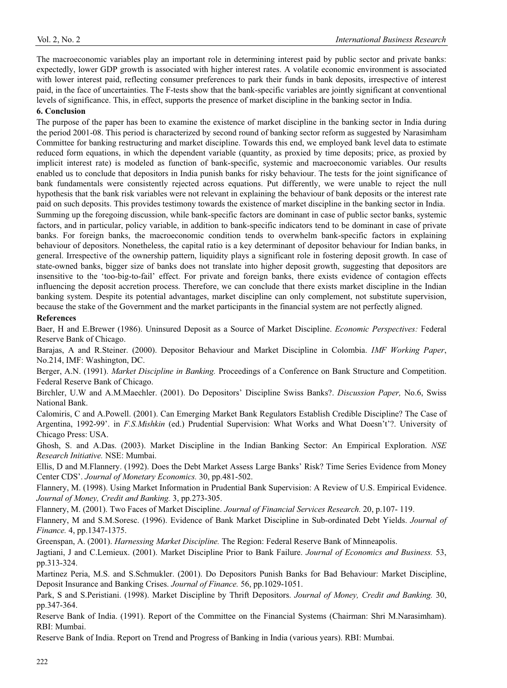The macroeconomic variables play an important role in determining interest paid by public sector and private banks: expectedly, lower GDP growth is associated with higher interest rates. A volatile economic environment is associated with lower interest paid, reflecting consumer preferences to park their funds in bank deposits, irrespective of interest paid, in the face of uncertainties. The F-tests show that the bank-specific variables are jointly significant at conventional levels of significance. This, in effect, supports the presence of market discipline in the banking sector in India.

#### **6. Conclusion**

The purpose of the paper has been to examine the existence of market discipline in the banking sector in India during the period 2001-08. This period is characterized by second round of banking sector reform as suggested by Narasimham Committee for banking restructuring and market discipline. Towards this end, we employed bank level data to estimate reduced form equations, in which the dependent variable (quantity, as proxied by time deposits; price, as proxied by implicit interest rate) is modeled as function of bank-specific, systemic and macroeconomic variables. Our results enabled us to conclude that depositors in India punish banks for risky behaviour. The tests for the joint significance of bank fundamentals were consistently rejected across equations. Put differently, we were unable to reject the null hypothesis that the bank risk variables were not relevant in explaining the behaviour of bank deposits or the interest rate paid on such deposits. This provides testimony towards the existence of market discipline in the banking sector in India. Summing up the foregoing discussion, while bank-specific factors are dominant in case of public sector banks, systemic factors, and in particular, policy variable, in addition to bank-specific indicators tend to be dominant in case of private banks. For foreign banks, the macroeconomic condition tends to overwhelm bank-specific factors in explaining behaviour of depositors. Nonetheless, the capital ratio is a key determinant of depositor behaviour for Indian banks, in general. Irrespective of the ownership pattern, liquidity plays a significant role in fostering deposit growth. In case of state-owned banks, bigger size of banks does not translate into higher deposit growth, suggesting that depositors are insensitive to the 'too-big-to-fail' effect. For private and foreign banks, there exists evidence of contagion effects influencing the deposit accretion process. Therefore, we can conclude that there exists market discipline in the Indian banking system. Despite its potential advantages, market discipline can only complement, not substitute supervision, because the stake of the Government and the market participants in the financial system are not perfectly aligned.

#### **References**

Baer, H and E.Brewer (1986). Uninsured Deposit as a Source of Market Discipline. *Economic Perspectives:* Federal Reserve Bank of Chicago.

Barajas, A and R.Steiner. (2000). Depositor Behaviour and Market Discipline in Colombia. *IMF Working Paper*, No.214, IMF: Washington, DC.

Berger, A.N. (1991). *Market Discipline in Banking.* Proceedings of a Conference on Bank Structure and Competition. Federal Reserve Bank of Chicago.

Birchler, U.W and A.M.Maechler. (2001). Do Depositors' Discipline Swiss Banks?. *Discussion Paper,* No.6, Swiss National Bank.

Calomiris, C and A.Powell. (2001). Can Emerging Market Bank Regulators Establish Credible Discipline? The Case of Argentina, 1992-99'. in *F.S.Mishkin* (ed.) Prudential Supervision: What Works and What Doesn't'?. University of Chicago Press: USA.

Ghosh, S. and A.Das. (2003). Market Discipline in the Indian Banking Sector: An Empirical Exploration. *NSE Research Initiative.* NSE: Mumbai.

Ellis, D and M.Flannery. (1992). Does the Debt Market Assess Large Banks' Risk? Time Series Evidence from Money Center CDS'. *Journal of Monetary Economics.* 30, pp.481-502.

Flannery, M. (1998). Using Market Information in Prudential Bank Supervision: A Review of U.S. Empirical Evidence. *Journal of Money, Credit and Banking.* 3, pp.273-305.

Flannery, M. (2001). Two Faces of Market Discipline. *Journal of Financial Services Research.* 20, p.107- 119.

Flannery, M and S.M.Soresc. (1996). Evidence of Bank Market Discipline in Sub-ordinated Debt Yields. *Journal of Finance.* 4, pp.1347-1375.

Greenspan, A. (2001). *Harnessing Market Discipline.* The Region: Federal Reserve Bank of Minneapolis.

Jagtiani, J and C.Lemieux. (2001). Market Discipline Prior to Bank Failure. *Journal of Economics and Business.* 53, pp.313-324.

Martinez Peria, M.S. and S.Schmukler. (2001). Do Depositors Punish Banks for Bad Behaviour: Market Discipline, Deposit Insurance and Banking Crises. *Journal of Finance.* 56, pp.1029-1051.

Park, S and S.Peristiani. (1998). Market Discipline by Thrift Depositors. *Journal of Money, Credit and Banking.* 30, pp.347-364.

Reserve Bank of India. (1991). Report of the Committee on the Financial Systems (Chairman: Shri M.Narasimham). RBI: Mumbai.

Reserve Bank of India. Report on Trend and Progress of Banking in India (various years). RBI: Mumbai.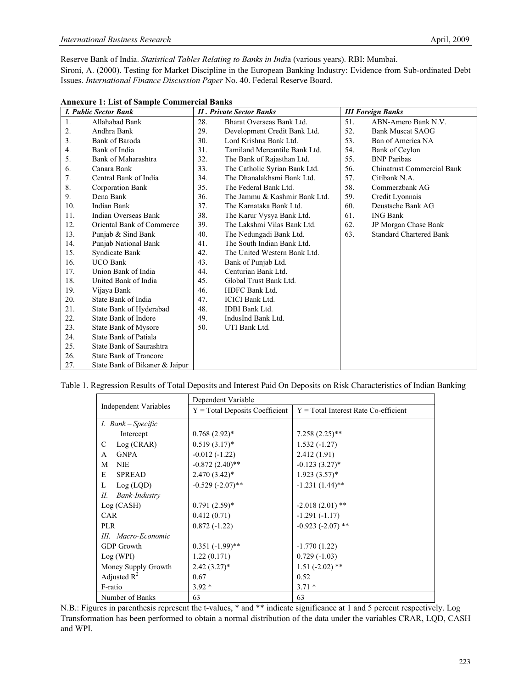Reserve Bank of India. *Statistical Tables Relating to Banks in Indi*a (various years). RBI: Mumbai. Sironi, A. (2000). Testing for Market Discipline in the European Banking Industry: Evidence from Sub-ordinated Debt Issues. *International Finance Discussion Paper* No. 40. Federal Reserve Board.

| <b>I. Public Sector Bank</b> |                                | <b>II</b> . Private Sector Banks |                               | <b>III Foreign Banks</b> |                                   |
|------------------------------|--------------------------------|----------------------------------|-------------------------------|--------------------------|-----------------------------------|
| 1.                           | Allahabad Bank                 | 28.                              | Bharat Overseas Bank Ltd.     | 51.                      | ABN-Amero Bank N.V.               |
| 2.                           | Andhra Bank                    | 29.                              | Development Credit Bank Ltd.  | 52.                      | <b>Bank Muscat SAOG</b>           |
| 3.                           | <b>Bank of Baroda</b>          | 30.                              | Lord Krishna Bank Ltd.        | 53.                      | Ban of America NA                 |
| $\overline{4}$ .             | Bank of India                  | 31.                              | Tamiland Mercantile Bank Ltd. | 54.                      | Bank of Ceylon                    |
| 5.                           | Bank of Maharashtra            | 32.                              | The Bank of Rajasthan Ltd.    | 55.                      | <b>BNP</b> Paribas                |
| 6.                           | Canara Bank                    | 33.                              | The Catholic Syrian Bank Ltd. | 56.                      | <b>Chinatrust Commercial Bank</b> |
| 7.                           | Central Bank of India          | 34.                              | The Dhanalakhsmi Bank Ltd.    | 57.                      | Citibank N.A.                     |
| 8.                           | <b>Corporation Bank</b>        | 35.                              | The Federal Bank Ltd.         | 58.                      | Commerzbank AG                    |
| 9.                           | Dena Bank                      | 36.                              | The Jammu & Kashmir Bank Ltd. | 59.                      | Credit Lyonnais                   |
| 10.                          | Indian Bank                    | 37.                              | The Karnataka Bank Ltd.       | 60.                      | Deustsche Bank AG                 |
| 11.                          | Indian Overseas Bank           | 38.                              | The Karur Vysya Bank Ltd.     | 61.                      | <b>ING Bank</b>                   |
| 12.                          | Oriental Bank of Commerce      | 39.                              | The Lakshmi Vilas Bank Ltd.   | 62.                      | JP Morgan Chase Bank              |
| 13.                          | Punjab & Sind Bank             | 40.                              | The Nedungadi Bank Ltd.       | 63.                      | <b>Standard Chartered Bank</b>    |
| 14.                          | Punjab National Bank           | 41.                              | The South Indian Bank Ltd.    |                          |                                   |
| 15.                          | Syndicate Bank                 | 42.                              | The United Western Bank Ltd.  |                          |                                   |
| 16.                          | <b>UCO Bank</b>                | 43.                              | Bank of Punjab Ltd.           |                          |                                   |
| 17.                          | Union Bank of India            | 44.                              | Centurian Bank Ltd.           |                          |                                   |
| 18.                          | United Bank of India           | 45.                              | Global Trust Bank Ltd.        |                          |                                   |
| 19.                          | Vijaya Bank                    | 46.                              | HDFC Bank Ltd.                |                          |                                   |
| 20.                          | State Bank of India            | 47.                              | <b>ICICI Bank Ltd.</b>        |                          |                                   |
| 21.                          | State Bank of Hyderabad        | 48.                              | <b>IDBI</b> Bank Ltd.         |                          |                                   |
| 22.                          | State Bank of Indore           | 49.                              | IndusInd Bank Ltd.            |                          |                                   |
| 23.                          | <b>State Bank of Mysore</b>    | 50.                              | UTI Bank Ltd.                 |                          |                                   |
| 24.                          | State Bank of Patiala          |                                  |                               |                          |                                   |
| 25.                          | State Bank of Saurashtra       |                                  |                               |                          |                                   |
| 26.                          | <b>State Bank of Trancore</b>  |                                  |                               |                          |                                   |
| 27.                          | State Bank of Bikaner & Jaipur |                                  |                               |                          |                                   |

**Annexure 1: List of Sample Commercial Banks** 

|  |  |  |  | Table 1. Regression Results of Total Deposits and Interest Paid On Deposits on Risk Characteristics of Indian Banking |
|--|--|--|--|-----------------------------------------------------------------------------------------------------------------------|
|  |  |  |  |                                                                                                                       |

|                              | Dependent Variable               |                                        |  |  |
|------------------------------|----------------------------------|----------------------------------------|--|--|
| <b>Independent Variables</b> | $Y = Total Deposits Coefficient$ | $Y = Total Interest Rate Co-efficient$ |  |  |
| I. Bank – Specific           |                                  |                                        |  |  |
| Intercept                    | $0.768(2.92)^*$                  | $7.258(2.25)$ **                       |  |  |
| Log (CRAR)<br>C              | $0.519(3.17)^*$                  | $1.532(-1.27)$                         |  |  |
| <b>GNPA</b><br>A             | $-0.012(-1.22)$                  | 2.412(1.91)                            |  |  |
| М<br><b>NIE</b>              | $-0.872(2.40)$ **                | $-0.123(3.27)$ *                       |  |  |
| <b>SPREAD</b><br>E           | $2.470(3.42)^*$                  | $1.923(3.57)^*$                        |  |  |
| Log (LQD)<br>L               | $-0.529(-2.07)$ **               | $-1.231(1.44)$ **                      |  |  |
| Bank-Industry<br>П.          |                                  |                                        |  |  |
| Log (CASH)                   | $0.791(2.59)^*$                  | $-2.018(2.01)$ **                      |  |  |
| <b>CAR</b>                   | 0.412(0.71)                      | $-1.291(-1.17)$                        |  |  |
| PLR.                         | $0.872(-1.22)$                   | $-0.923(-2.07)$ **                     |  |  |
| III. Macro-Economic          |                                  |                                        |  |  |
| <b>GDP</b> Growth            | $0.351(-1.99)$ **                | $-1.770(1.22)$                         |  |  |
| Log (WPI)                    | 1.22(0.171)                      | $0.729(-1.03)$                         |  |  |
| Money Supply Growth          | $2.42(3.27)^*$                   | $1.51(-2.02)$ **                       |  |  |
| Adjusted $R^2$               | 0.67                             | 0.52                                   |  |  |
| F-ratio                      | $3.92*$                          | $3.71*$                                |  |  |
| Number of Banks              | 63                               | 63                                     |  |  |

N.B.: Figures in parenthesis represent the t-values, \* and \*\* indicate significance at 1 and 5 percent respectively. Log Transformation has been performed to obtain a normal distribution of the data under the variables CRAR, LQD, CASH and WPI.